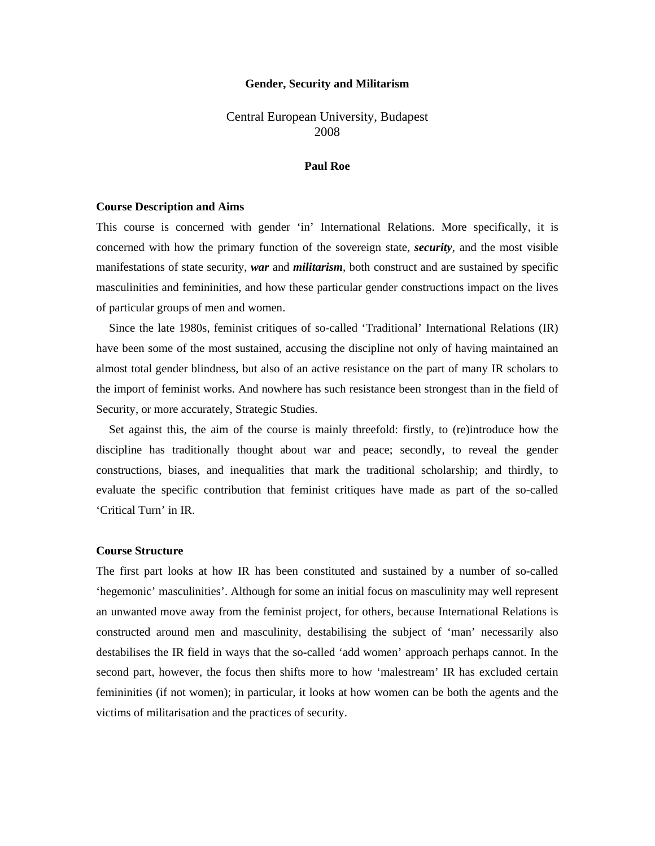#### **Gender, Security and Militarism**

# Central European University, Budapest 2008

#### **Paul Roe**

#### **Course Description and Aims**

This course is concerned with gender 'in' International Relations. More specifically, it is concerned with how the primary function of the sovereign state, *security*, and the most visible manifestations of state security, *war* and *militarism*, both construct and are sustained by specific masculinities and femininities, and how these particular gender constructions impact on the lives of particular groups of men and women.

Since the late 1980s, feminist critiques of so-called 'Traditional' International Relations (IR) have been some of the most sustained, accusing the discipline not only of having maintained an almost total gender blindness, but also of an active resistance on the part of many IR scholars to the import of feminist works. And nowhere has such resistance been strongest than in the field of Security, or more accurately, Strategic Studies.

Set against this, the aim of the course is mainly threefold: firstly, to (re)introduce how the discipline has traditionally thought about war and peace; secondly, to reveal the gender constructions, biases, and inequalities that mark the traditional scholarship; and thirdly, to evaluate the specific contribution that feminist critiques have made as part of the so-called 'Critical Turn' in IR.

#### **Course Structure**

The first part looks at how IR has been constituted and sustained by a number of so-called 'hegemonic' masculinities'. Although for some an initial focus on masculinity may well represent an unwanted move away from the feminist project, for others, because International Relations is constructed around men and masculinity, destabilising the subject of 'man' necessarily also destabilises the IR field in ways that the so-called 'add women' approach perhaps cannot. In the second part, however, the focus then shifts more to how 'malestream' IR has excluded certain femininities (if not women); in particular, it looks at how women can be both the agents and the victims of militarisation and the practices of security.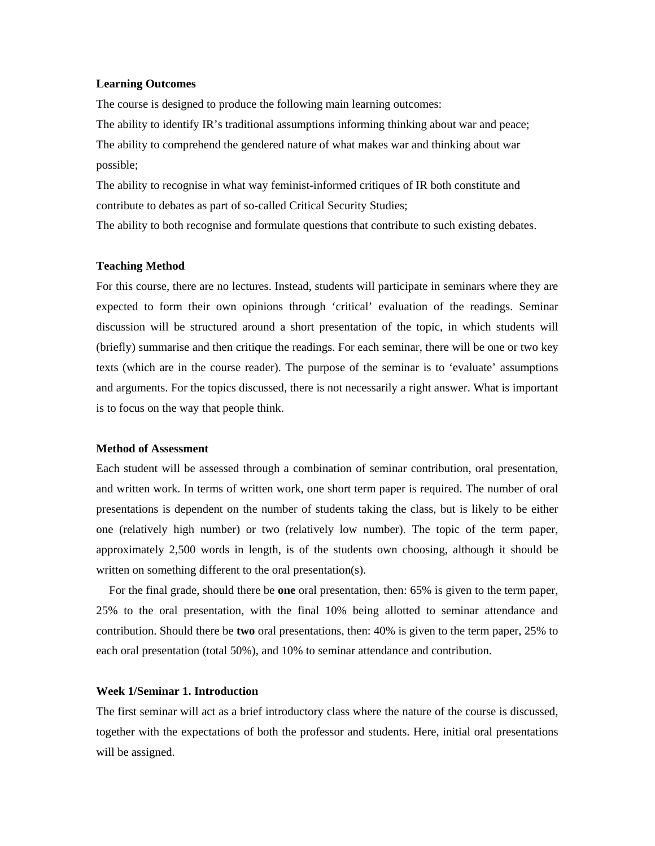#### **Learning Outcomes**

The course is designed to produce the following main learning outcomes: The ability to identify IR's traditional assumptions informing thinking about war and peace; The ability to comprehend the gendered nature of what makes war and thinking about war possible;

The ability to recognise in what way feminist-informed critiques of IR both constitute and contribute to debates as part of so-called Critical Security Studies;

The ability to both recognise and formulate questions that contribute to such existing debates.

#### **Teaching Method**

For this course, there are no lectures. Instead, students will participate in seminars where they are expected to form their own opinions through 'critical' evaluation of the readings. Seminar discussion will be structured around a short presentation of the topic, in which students will (briefly) summarise and then critique the readings. For each seminar, there will be one or two key texts (which are in the course reader). The purpose of the seminar is to 'evaluate' assumptions and arguments. For the topics discussed, there is not necessarily a right answer. What is important is to focus on the way that people think.

#### **Method of Assessment**

Each student will be assessed through a combination of seminar contribution, oral presentation, and written work. In terms of written work, one short term paper is required. The number of oral presentations is dependent on the number of students taking the class, but is likely to be either one (relatively high number) or two (relatively low number). The topic of the term paper, approximately 2,500 words in length, is of the students own choosing, although it should be written on something different to the oral presentation(s).

For the final grade, should there be **one** oral presentation, then: 65% is given to the term paper, 25% to the oral presentation, with the final 10% being allotted to seminar attendance and contribution. Should there be **two** oral presentations, then: 40% is given to the term paper, 25% to each oral presentation (total 50%), and 10% to seminar attendance and contribution.

#### **Week 1/Seminar 1. Introduction**

The first seminar will act as a brief introductory class where the nature of the course is discussed, together with the expectations of both the professor and students. Here, initial oral presentations will be assigned.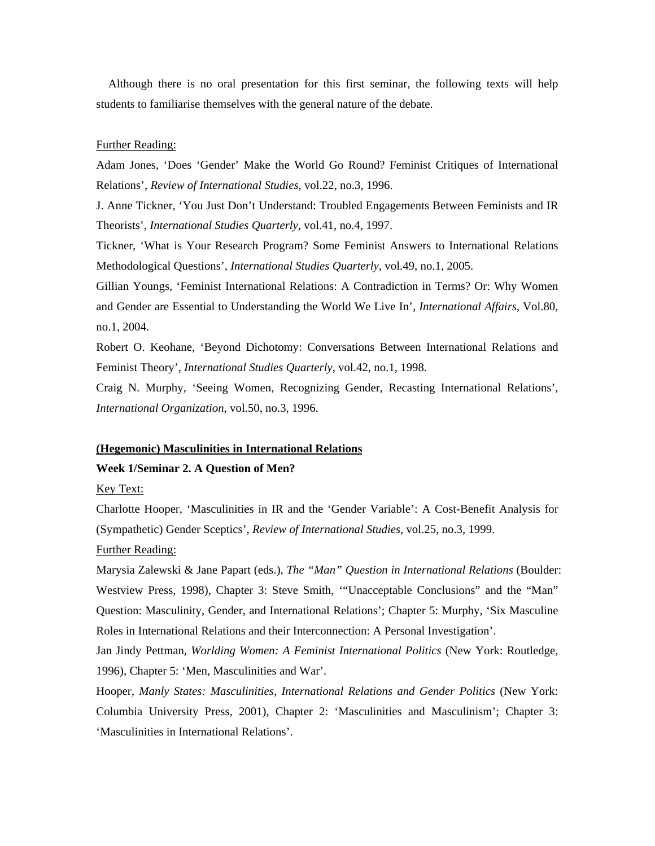Although there is no oral presentation for this first seminar, the following texts will help students to familiarise themselves with the general nature of the debate.

#### Further Reading:

Adam Jones, 'Does 'Gender' Make the World Go Round? Feminist Critiques of International Relations', *Review of International Studies*, vol.22, no.3, 1996.

J. Anne Tickner, 'You Just Don't Understand: Troubled Engagements Between Feminists and IR Theorists', *International Studies Quarterly*, vol.41, no.4, 1997.

Tickner, 'What is Your Research Program? Some Feminist Answers to International Relations Methodological Questions', *International Studies Quarterly*, vol.49, no.1, 2005.

Gillian Youngs, 'Feminist International Relations: A Contradiction in Terms? Or: Why Women and Gender are Essential to Understanding the World We Live In', *International Affairs*, Vol.80, no.1, 2004.

Robert O. Keohane, 'Beyond Dichotomy: Conversations Between International Relations and Feminist Theory', *International Studies Quarterly*, vol.42, no.1, 1998.

Craig N. Murphy, 'Seeing Women, Recognizing Gender, Recasting International Relations', *International Organization*, vol.50, no.3, 1996.

#### **(Hegemonic) Masculinities in International Relations**

#### **Week 1/Seminar 2. A Question of Men?**

Key Text:

Charlotte Hooper, 'Masculinities in IR and the 'Gender Variable': A Cost-Benefit Analysis for (Sympathetic) Gender Sceptics', *Review of International Studies*, vol.25, no.3, 1999.

## Further Reading:

Marysia Zalewski & Jane Papart (eds.), *The "Man" Question in International Relations* (Boulder: Westview Press, 1998), Chapter 3: Steve Smith, '"Unacceptable Conclusions" and the "Man" Question: Masculinity, Gender, and International Relations'; Chapter 5: Murphy, 'Six Masculine Roles in International Relations and their Interconnection: A Personal Investigation'.

Jan Jindy Pettman, *Worlding Women: A Feminist International Politics* (New York: Routledge, 1996), Chapter 5: 'Men, Masculinities and War'.

Hooper, *Manly States: Masculinities, International Relations and Gender Politics* (New York: Columbia University Press, 2001), Chapter 2: 'Masculinities and Masculinism'; Chapter 3: 'Masculinities in International Relations'.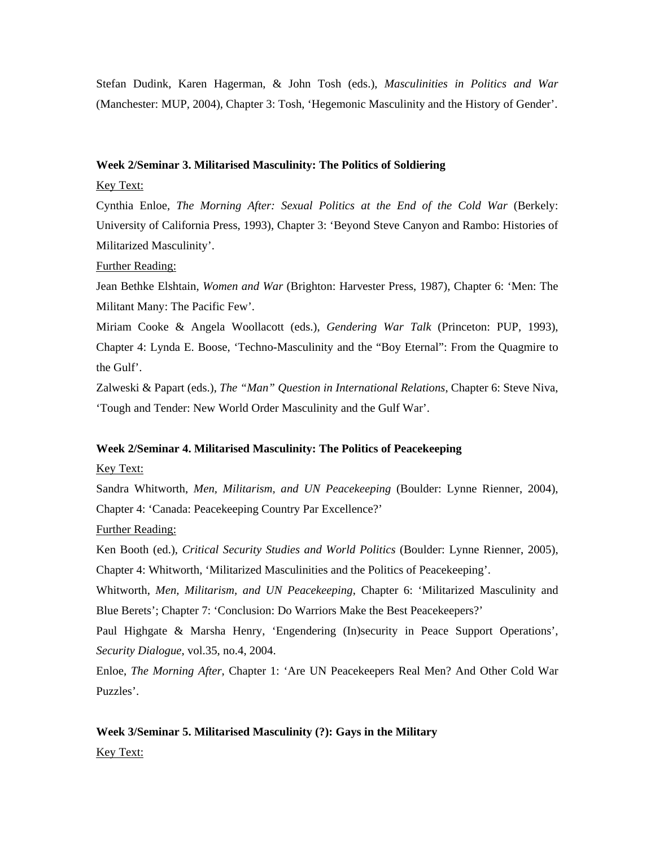Stefan Dudink, Karen Hagerman, & John Tosh (eds.), *Masculinities in Politics and War* (Manchester: MUP, 2004), Chapter 3: Tosh, 'Hegemonic Masculinity and the History of Gender'.

#### **Week 2/Seminar 3. Militarised Masculinity: The Politics of Soldiering**

## Key Text:

Cynthia Enloe, *The Morning After: Sexual Politics at the End of the Cold War* (Berkely: University of California Press, 1993), Chapter 3: 'Beyond Steve Canyon and Rambo: Histories of Militarized Masculinity'.

## Further Reading:

Jean Bethke Elshtain, *Women and War* (Brighton: Harvester Press, 1987), Chapter 6: 'Men: The Militant Many: The Pacific Few'.

Miriam Cooke & Angela Woollacott (eds.), *Gendering War Talk* (Princeton: PUP, 1993), Chapter 4: Lynda E. Boose, 'Techno-Masculinity and the "Boy Eternal": From the Quagmire to the Gulf'.

Zalweski & Papart (eds.), *The "Man" Question in International Relations*, Chapter 6: Steve Niva, 'Tough and Tender: New World Order Masculinity and the Gulf War'.

#### **Week 2/Seminar 4. Militarised Masculinity: The Politics of Peacekeeping**

## Key Text:

Sandra Whitworth, *Men, Militarism, and UN Peacekeeping* (Boulder: Lynne Rienner, 2004), Chapter 4: 'Canada: Peacekeeping Country Par Excellence?'

#### Further Reading:

Ken Booth (ed.), *Critical Security Studies and World Politics* (Boulder: Lynne Rienner, 2005), Chapter 4: Whitworth, 'Militarized Masculinities and the Politics of Peacekeeping'.

Whitworth, *Men, Militarism, and UN Peacekeeping*, Chapter 6: 'Militarized Masculinity and Blue Berets'; Chapter 7: 'Conclusion: Do Warriors Make the Best Peacekeepers?'

Paul Highgate & Marsha Henry, 'Engendering (In)security in Peace Support Operations', *Security Dialogue*, vol.35, no.4, 2004.

Enloe, *The Morning After*, Chapter 1: 'Are UN Peacekeepers Real Men? And Other Cold War Puzzles'.

# **Week 3/Seminar 5. Militarised Masculinity (?): Gays in the Military**  Key Text: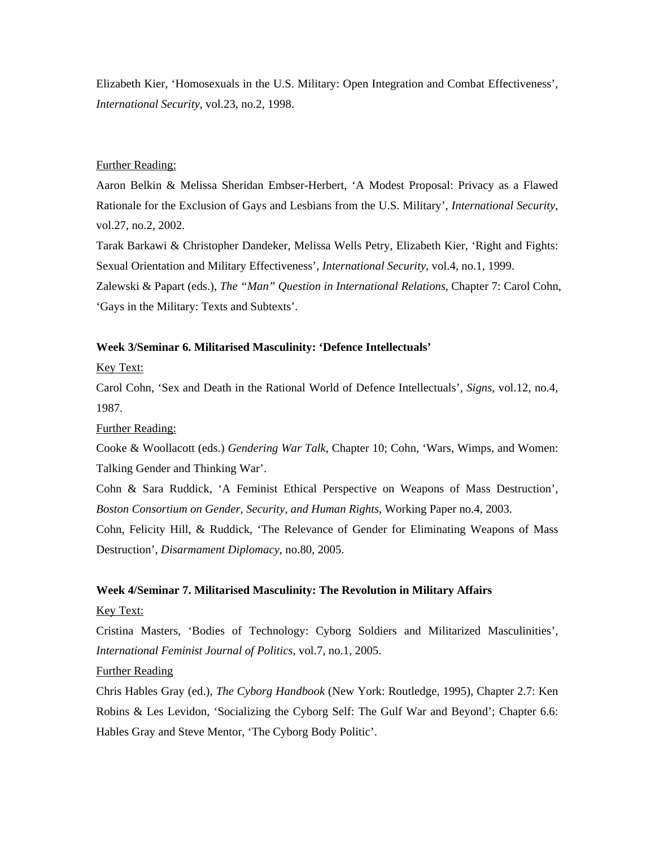Elizabeth Kier, 'Homosexuals in the U.S. Military: Open Integration and Combat Effectiveness', *International Security*, vol.23, no.2, 1998.

## Further Reading:

Aaron Belkin & Melissa Sheridan Embser-Herbert, 'A Modest Proposal: Privacy as a Flawed Rationale for the Exclusion of Gays and Lesbians from the U.S. Military', *International Security*, vol.27, no.2, 2002.

Tarak Barkawi & Christopher Dandeker, Melissa Wells Petry, Elizabeth Kier, 'Right and Fights: Sexual Orientation and Military Effectiveness', *International Security*, vol.4, no.1, 1999. Zalewski & Papart (eds.), *The "Man" Question in International Relations*, Chapter 7: Carol Cohn, 'Gays in the Military: Texts and Subtexts'.

#### **Week 3/Seminar 6. Militarised Masculinity: 'Defence Intellectuals'**

Key Text:

Carol Cohn, 'Sex and Death in the Rational World of Defence Intellectuals', *Signs*, vol.12, no.4, 1987.

## Further Reading:

Cooke & Woollacott (eds.) *Gendering War Talk*, Chapter 10; Cohn, 'Wars, Wimps, and Women: Talking Gender and Thinking War'.

Cohn & Sara Ruddick, 'A Feminist Ethical Perspective on Weapons of Mass Destruction', *Boston Consortium on Gender, Security, and Human Rights*, Working Paper no.4, 2003.

Cohn, Felicity Hill, & Ruddick, 'The Relevance of Gender for Eliminating Weapons of Mass Destruction', *Disarmament Diplomacy*, no.80, 2005.

## **Week 4/Seminar 7. Militarised Masculinity: The Revolution in Military Affairs**

Key Text:

Cristina Masters, 'Bodies of Technology: Cyborg Soldiers and Militarized Masculinities', *International Feminist Journal of Politics*, vol.7, no.1, 2005.

## Further Reading

Chris Hables Gray (ed.), *The Cyborg Handbook* (New York: Routledge, 1995), Chapter 2.7: Ken Robins & Les Levidon, 'Socializing the Cyborg Self: The Gulf War and Beyond'; Chapter 6.6: Hables Gray and Steve Mentor, 'The Cyborg Body Politic'.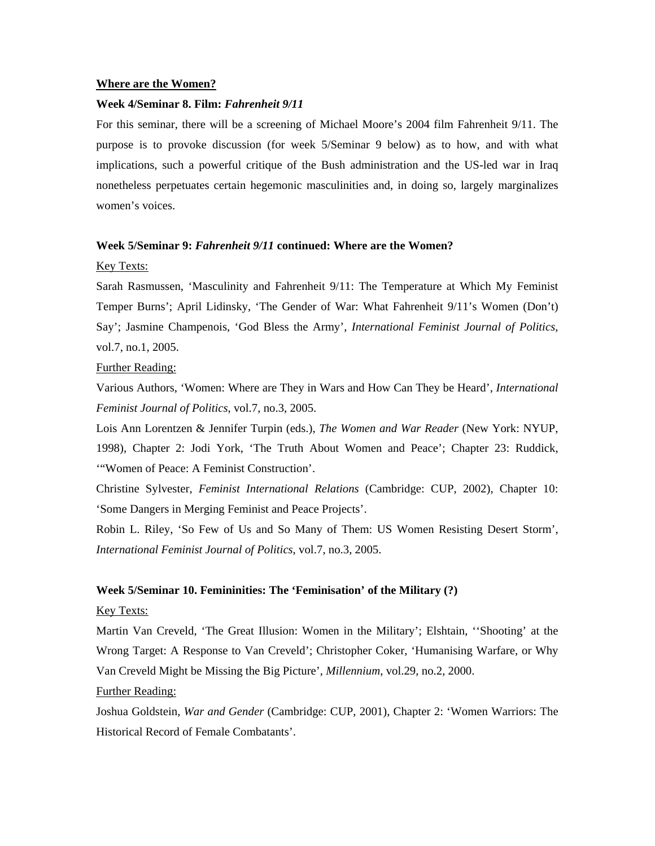#### **Where are the Women?**

## **Week 4/Seminar 8. Film:** *Fahrenheit 9/11*

For this seminar, there will be a screening of Michael Moore's 2004 film Fahrenheit 9/11. The purpose is to provoke discussion (for week 5/Seminar 9 below) as to how, and with what implications, such a powerful critique of the Bush administration and the US-led war in Iraq nonetheless perpetuates certain hegemonic masculinities and, in doing so, largely marginalizes women's voices.

## **Week 5/Seminar 9:** *Fahrenheit 9/11* **continued: Where are the Women?**

#### Key Texts:

Sarah Rasmussen, 'Masculinity and Fahrenheit 9/11: The Temperature at Which My Feminist Temper Burns'; April Lidinsky, 'The Gender of War: What Fahrenheit 9/11's Women (Don't) Say'; Jasmine Champenois, 'God Bless the Army', *International Feminist Journal of Politics*, vol.7, no.1, 2005.

## Further Reading:

Various Authors, 'Women: Where are They in Wars and How Can They be Heard', *International Feminist Journal of Politics*, vol.7, no.3, 2005.

Lois Ann Lorentzen & Jennifer Turpin (eds.), *The Women and War Reader* (New York: NYUP, 1998), Chapter 2: Jodi York, 'The Truth About Women and Peace'; Chapter 23: Ruddick, '"Women of Peace: A Feminist Construction'.

Christine Sylvester, *Feminist International Relations* (Cambridge: CUP, 2002), Chapter 10: 'Some Dangers in Merging Feminist and Peace Projects'.

Robin L. Riley, 'So Few of Us and So Many of Them: US Women Resisting Desert Storm', *International Feminist Journal of Politics*, vol.7, no.3, 2005.

## **Week 5/Seminar 10. Femininities: The 'Feminisation' of the Military (?)**

#### Key Texts:

Martin Van Creveld, 'The Great Illusion: Women in the Military'; Elshtain, ''Shooting' at the Wrong Target: A Response to Van Creveld'; Christopher Coker, 'Humanising Warfare, or Why Van Creveld Might be Missing the Big Picture', *Millennium*, vol.29, no.2, 2000.

## Further Reading:

Joshua Goldstein, *War and Gender* (Cambridge: CUP, 2001), Chapter 2: 'Women Warriors: The Historical Record of Female Combatants'.